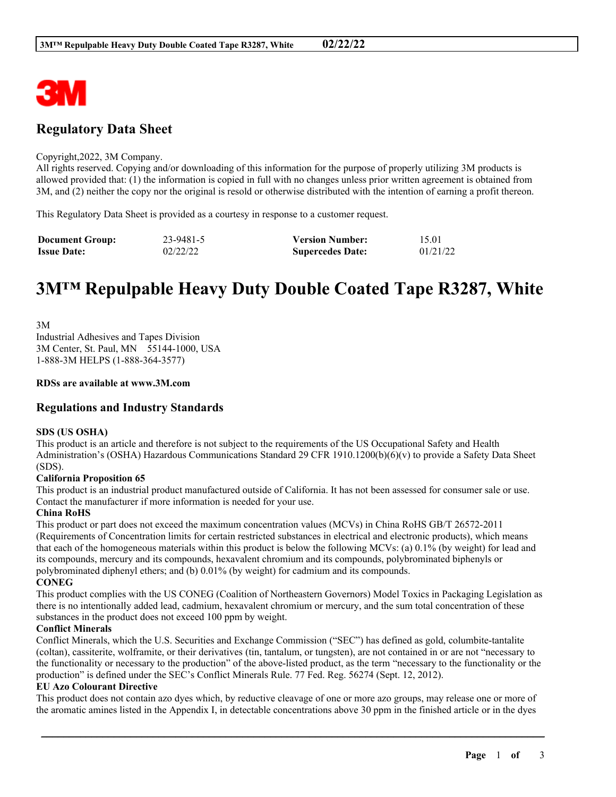

# **Regulatory Data Sheet**

#### Copyright,2022, 3M Company.

All rights reserved. Copying and/or downloading of this information for the purpose of properly utilizing 3M products is allowed provided that: (1) the information is copied in full with no changes unless prior written agreement is obtained from 3M, and (2) neither the copy nor the original is resold or otherwise distributed with the intention of earning a profit thereon.

This Regulatory Data Sheet is provided as a courtesy in response to a customer request.

| <b>Document Group:</b> | 23-9481-5 | <b>Version Number:</b>  | 15.01    |
|------------------------|-----------|-------------------------|----------|
| <b>Issue Date:</b>     | 02/22/22  | <b>Supercedes Date:</b> | 01/21/22 |

# **3M™ Repulpable Heavy Duty Double Coated Tape R3287, White**

3M Industrial Adhesives and Tapes Division 3M Center, St. Paul, MN 55144-1000, USA 1-888-3M HELPS (1-888-364-3577)

#### **RDSs are available at www.3M.com**

## **Regulations and Industry Standards**

#### **SDS (US OSHA)**

This product is an article and therefore is not subject to the requirements of the US Occupational Safety and Health Administration's (OSHA) Hazardous Communications Standard 29 CFR 1910.1200(b)(6)(v) to provide a Safety Data Sheet (SDS).

#### **California Proposition 65**

This product is an industrial product manufactured outside of California. It has not been assessed for consumer sale or use. Contact the manufacturer if more information is needed for your use.

#### **China RoHS**

This product or part does not exceed the maximum concentration values (MCVs) in China RoHS GB/T 26572-2011 (Requirements of Concentration limits for certain restricted substances in electrical and electronic products), which means that each of the homogeneous materials within this product is below the following MCVs: (a) 0.1% (by weight) for lead and its compounds, mercury and its compounds, hexavalent chromium and its compounds, polybrominated biphenyls or polybrominated diphenyl ethers; and (b) 0.01% (by weight) for cadmium and its compounds. **CONEG**

This product complies with the US CONEG (Coalition of Northeastern Governors) Model Toxics in Packaging Legislation as there is no intentionally added lead, cadmium, hexavalent chromium or mercury, and the sum total concentration of these substances in the product does not exceed 100 ppm by weight.

#### **Conflict Minerals**

Conflict Minerals, which the U.S. Securities and Exchange Commission ("SEC") has defined as gold, columbite-tantalite (coltan), cassiterite, wolframite, or their derivatives (tin, tantalum, or tungsten), are not contained in or are not "necessary to the functionality or necessary to the production" of the above-listed product, as the term "necessary to the functionality or the production" is defined under the SEC's Conflict Minerals Rule. 77 Fed. Reg. 56274 (Sept. 12, 2012).

#### **EU Azo Colourant Directive**

This product does not contain azo dyes which, by reductive cleavage of one or more azo groups, may release one or more of the aromatic amines listed in the Appendix I, in detectable concentrations above 30 ppm in the finished article or in the dyes

\_\_\_\_\_\_\_\_\_\_\_\_\_\_\_\_\_\_\_\_\_\_\_\_\_\_\_\_\_\_\_\_\_\_\_\_\_\_\_\_\_\_\_\_\_\_\_\_\_\_\_\_\_\_\_\_\_\_\_\_\_\_\_\_\_\_\_\_\_\_\_\_\_\_\_\_\_\_\_\_\_\_\_\_\_\_\_\_\_\_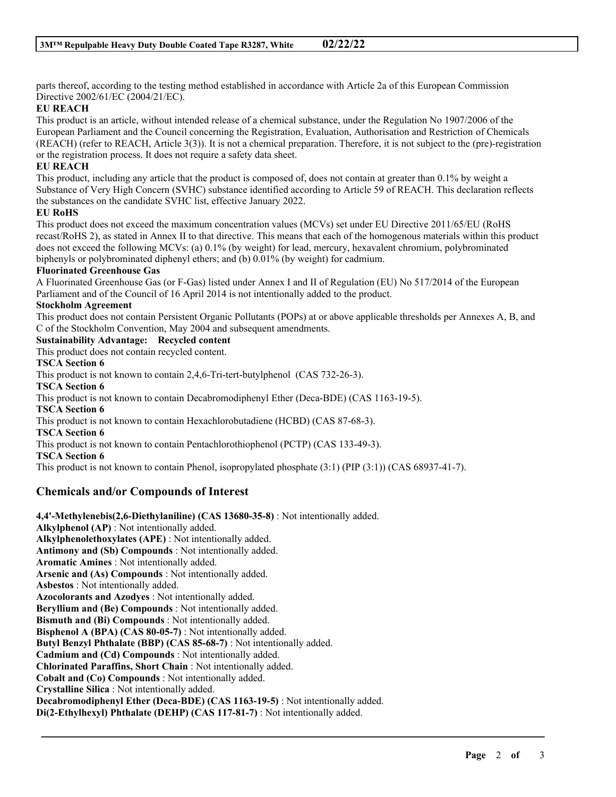parts thereof, according to the testing method established in accordance with Article 2a of this European Commission Directive 2002/61/EC (2004/21/EC).

# **EU REACH**

This product is an article, without intended release of a chemical substance, under the Regulation No 1907/2006 of the European Parliament and the Council concerning the Registration, Evaluation, Authorisation and Restriction of Chemicals (REACH) (refer to REACH, Article 3(3)). It is not a chemical preparation. Therefore, it is not subject to the (pre)-registration or the registration process. It does not require a safety data sheet.

# **EU REACH**

This product, including any article that the product is composed of, does not contain at greater than 0.1% by weight a Substance of Very High Concern (SVHC) substance identified according to Article 59 of REACH. This declaration reflects the substances on the candidate SVHC list, effective January 2022.

## **EU RoHS**

This product does not exceed the maximum concentration values (MCVs) set under EU Directive 2011/65/EU (RoHS recast/RoHS 2), as stated in Annex II to that directive. This means that each of the homogenous materials within this product does not exceed the following MCVs: (a) 0.1% (by weight) for lead, mercury, hexavalent chromium, polybrominated biphenyls or polybrominated diphenyl ethers; and (b) 0.01% (by weight) for cadmium.

## **Fluorinated Greenhouse Gas**

A Fluorinated Greenhouse Gas (or F-Gas) listed under Annex I and II of Regulation (EU) No 517/2014 of the European Parliament and of the Council of 16 April 2014 is not intentionally added to the product.

## **Stockholm Agreement**

This product does not contain Persistent Organic Pollutants (POPs) at or above applicable thresholds per Annexes A, B, and C of the Stockholm Convention, May 2004 and subsequent amendments.

\_\_\_\_\_\_\_\_\_\_\_\_\_\_\_\_\_\_\_\_\_\_\_\_\_\_\_\_\_\_\_\_\_\_\_\_\_\_\_\_\_\_\_\_\_\_\_\_\_\_\_\_\_\_\_\_\_\_\_\_\_\_\_\_\_\_\_\_\_\_\_\_\_\_\_\_\_\_\_\_\_\_\_\_\_\_\_\_\_\_

# **Sustainability Advantage: Recycled content**

This product does not contain recycled content.

**TSCA Section 6**

This product is not known to contain 2,4,6-Tri-tert-butylphenol (CAS 732-26-3). **TSCA Section 6**

This product is not known to contain Decabromodiphenyl Ether (Deca-BDE) (CAS 1163-19-5).

# **TSCA Section 6**

This product is not known to contain Hexachlorobutadiene (HCBD) (CAS 87-68-3).

## **TSCA Section 6**

This product is not known to contain Pentachlorothiophenol (PCTP) (CAS 133-49-3).

**TSCA Section 6**

This product is not known to contain Phenol, isopropylated phosphate (3:1) (PIP (3:1)) (CAS 68937-41-7).

# **Chemicals and/or Compounds of Interest**

**4,4'-Methylenebis(2,6-Diethylaniline) (CAS 13680-35-8)** : Not intentionally added. **Alkylphenol (AP)** : Not intentionally added. **Alkylphenolethoxylates (APE)** : Not intentionally added. **Antimony and (Sb) Compounds** : Not intentionally added. **Aromatic Amines** : Not intentionally added. **Arsenic and (As) Compounds** : Not intentionally added. **Asbestos** : Not intentionally added. **Azocolorants and Azodyes** : Not intentionally added. **Beryllium and (Be) Compounds** : Not intentionally added. **Bismuth and (Bi) Compounds** : Not intentionally added. **Bisphenol A (BPA) (CAS 80-05-7)** : Not intentionally added. **Butyl Benzyl Phthalate (BBP) (CAS 85-68-7)** : Not intentionally added. **Cadmium and (Cd) Compounds** : Not intentionally added. **Chlorinated Paraffins, Short Chain** : Not intentionally added. **Cobalt and (Co) Compounds** : Not intentionally added. **Crystalline Silica** : Not intentionally added. **Decabromodiphenyl Ether (Deca-BDE) (CAS 1163-19-5)** : Not intentionally added. **Di(2-Ethylhexyl) Phthalate (DEHP) (CAS 117-81-7)** : Not intentionally added.